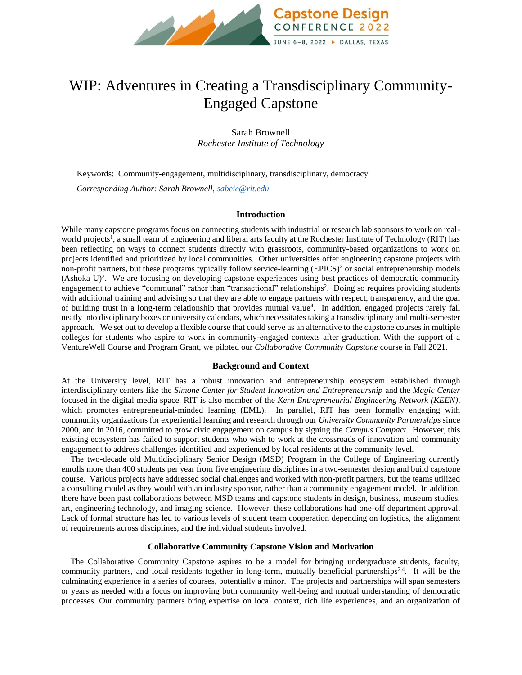

# WIP: Adventures in Creating a Transdisciplinary Community-Engaged Capstone

Sarah Brownell *Rochester Institute of Technology*

Keywords:Community-engagement, multidisciplinary, transdisciplinary, democracy *Corresponding Author: Sarah Brownell[, sabeie@rit.edu](mailto:sabeie@rit.edu)*

#### **Introduction**

While many capstone programs focus on connecting students with industrial or research lab sponsors to work on realworld projects<sup>1</sup>, a small team of engineering and liberal arts faculty at the Rochester Institute of Technology (RIT) has been reflecting on ways to connect students directly with grassroots, community-based organizations to work on projects identified and prioritized by local communities. Other universities offer engineering capstone projects with non-profit partners, but these programs typically follow service-learning  $(EPICS)^2$  or social entrepreneurship models (Ashoka  $U$ )<sup>3</sup>. We are focusing on developing capstone experiences using best practices of democratic community engagement to achieve "communal" rather than "transactional" relationships<sup>2</sup>. Doing so requires providing students with additional training and advising so that they are able to engage partners with respect, transparency, and the goal of building trust in a long-term relationship that provides mutual value<sup>4</sup> . In addition, engaged projects rarely fall neatly into disciplinary boxes or university calendars, which necessitates taking a transdisciplinary and multi-semester approach. We set out to develop a flexible course that could serve as an alternative to the capstone courses in multiple colleges for students who aspire to work in community-engaged contexts after graduation. With the support of a VentureWell Course and Program Grant, we piloted our *Collaborative Community Capstone* course in Fall 2021.

### **Background and Context**

At the University level, RIT has a robust innovation and entrepreneurship ecosystem established through interdisciplinary centers like the *Simone Center for Student Innovation and Entrepreneurship* and the *Magic Center*  focused in the digital media space. RIT is also member of the *Kern Entrepreneurial Engineering Network (KEEN)*, which promotes entrepreneurial-minded learning (EML). In parallel, RIT has been formally engaging with community organizations for experiential learning and research through our *University Community Partnerships* since 2000, and in 2016, committed to grow civic engagement on campus by signing the *Campus Compact*. However, this existing ecosystem has failed to support students who wish to work at the crossroads of innovation and community engagement to address challenges identified and experienced by local residents at the community level.

The two-decade old Multidisciplinary Senior Design (MSD) Program in the College of Engineering currently enrolls more than 400 students per year from five engineering disciplines in a two-semester design and build capstone course. Various projects have addressed social challenges and worked with non-profit partners, but the teams utilized a consulting model as they would with an industry sponsor, rather than a community engagement model. In addition, there have been past collaborations between MSD teams and capstone students in design, business, museum studies, art, engineering technology, and imaging science. However, these collaborations had one-off department approval. Lack of formal structure has led to various levels of student team cooperation depending on logistics, the alignment of requirements across disciplines, and the individual students involved.

#### **Collaborative Community Capstone Vision and Motivation**

The Collaborative Community Capstone aspires to be a model for bringing undergraduate students, faculty, community partners, and local residents together in long-term, mutually beneficial partnerships<sup>2,4</sup>. It will be the culminating experience in a series of courses, potentially a minor. The projects and partnerships will span semesters or years as needed with a focus on improving both community well-being and mutual understanding of democratic processes. Our community partners bring expertise on local context, rich life experiences, and an organization of